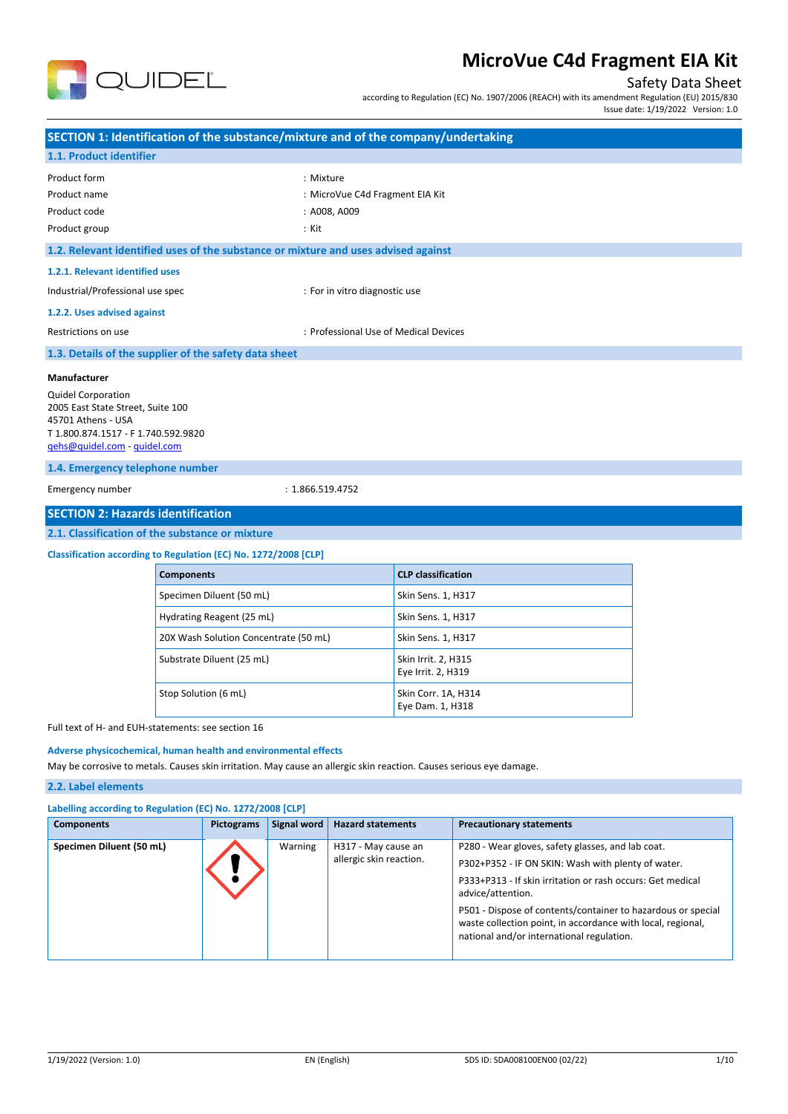

## Safety Data Sheet

according to Regulation (EC) No. 1907/2006 (REACH) with its amendment Regulation (EU) 2015/830

Issue date: 1/19/2022 Version: 1.0

|                                                                                                                                                                                                                                                                                |                                                                                                                    | SECTION 1: Identification of the substance/mixture and of the company/undertaking  |  |  |  |  |
|--------------------------------------------------------------------------------------------------------------------------------------------------------------------------------------------------------------------------------------------------------------------------------|--------------------------------------------------------------------------------------------------------------------|------------------------------------------------------------------------------------|--|--|--|--|
| 1.1. Product identifier                                                                                                                                                                                                                                                        |                                                                                                                    |                                                                                    |  |  |  |  |
| Product form                                                                                                                                                                                                                                                                   |                                                                                                                    | : Mixture                                                                          |  |  |  |  |
| Product name                                                                                                                                                                                                                                                                   |                                                                                                                    | : MicroVue C4d Fragment EIA Kit                                                    |  |  |  |  |
| Product code                                                                                                                                                                                                                                                                   |                                                                                                                    | : A008, A009                                                                       |  |  |  |  |
| Product group                                                                                                                                                                                                                                                                  |                                                                                                                    | : Kit                                                                              |  |  |  |  |
|                                                                                                                                                                                                                                                                                |                                                                                                                    | 1.2. Relevant identified uses of the substance or mixture and uses advised against |  |  |  |  |
| 1.2.1. Relevant identified uses                                                                                                                                                                                                                                                |                                                                                                                    |                                                                                    |  |  |  |  |
| Industrial/Professional use spec                                                                                                                                                                                                                                               |                                                                                                                    | : For in vitro diagnostic use                                                      |  |  |  |  |
| 1.2.2. Uses advised against                                                                                                                                                                                                                                                    |                                                                                                                    |                                                                                    |  |  |  |  |
| Restrictions on use                                                                                                                                                                                                                                                            |                                                                                                                    | : Professional Use of Medical Devices                                              |  |  |  |  |
|                                                                                                                                                                                                                                                                                | 1.3. Details of the supplier of the safety data sheet                                                              |                                                                                    |  |  |  |  |
| Manufacturer<br><b>Quidel Corporation</b><br>2005 East State Street, Suite 100<br>45701 Athens - USA<br>T 1.800.874.1517 - F 1.740.592.9820<br>gehs@quidel.com - quidel.com<br>1.4. Emergency telephone number<br>Emergency number<br><b>SECTION 2: Hazards identification</b> | 2.1. Classification of the substance or mixture<br>Classification according to Regulation (EC) No. 1272/2008 [CLP] | : 1.866.519.4752                                                                   |  |  |  |  |
|                                                                                                                                                                                                                                                                                | <b>Components</b>                                                                                                  | <b>CLP classification</b>                                                          |  |  |  |  |
|                                                                                                                                                                                                                                                                                | Specimen Diluent (50 mL)                                                                                           | Skin Sens. 1, H317                                                                 |  |  |  |  |
|                                                                                                                                                                                                                                                                                |                                                                                                                    |                                                                                    |  |  |  |  |
|                                                                                                                                                                                                                                                                                | Hydrating Reagent (25 mL)                                                                                          | Skin Sens. 1, H317                                                                 |  |  |  |  |
|                                                                                                                                                                                                                                                                                | 20X Wash Solution Concentrate (50 mL)                                                                              | Skin Sens. 1, H317                                                                 |  |  |  |  |
|                                                                                                                                                                                                                                                                                | Substrate Diluent (25 mL)                                                                                          | Skin Irrit. 2, H315<br>Eye Irrit. 2, H319                                          |  |  |  |  |
|                                                                                                                                                                                                                                                                                | Stop Solution (6 mL)                                                                                               | Skin Corr. 1A, H314<br>Eye Dam. 1, H318                                            |  |  |  |  |

Full text of H- and EUH-statements: see section 16

## **Adverse physicochemical, human health and environmental effects**

May be corrosive to metals. Causes skin irritation. May cause an allergic skin reaction. Causes serious eye damage.

### **2.2. Label elements**

| Labelling according to Regulation (EC) No. 1272/2008 [CLP] |  |
|------------------------------------------------------------|--|
|                                                            |  |

| <b>Components</b>        | Pictograms | Signal word | <b>Hazard statements</b>                       | <b>Precautionary statements</b>                                                                                                                                          |
|--------------------------|------------|-------------|------------------------------------------------|--------------------------------------------------------------------------------------------------------------------------------------------------------------------------|
| Specimen Diluent (50 mL) |            | Warning     | H317 - May cause an<br>allergic skin reaction. | P280 - Wear gloves, safety glasses, and lab coat.<br>P302+P352 - IF ON SKIN: Wash with plenty of water.                                                                  |
|                          |            |             |                                                | P333+P313 - If skin irritation or rash occurs: Get medical<br>advice/attention.                                                                                          |
|                          |            |             |                                                | P501 - Dispose of contents/container to hazardous or special<br>waste collection point, in accordance with local, regional,<br>national and/or international regulation. |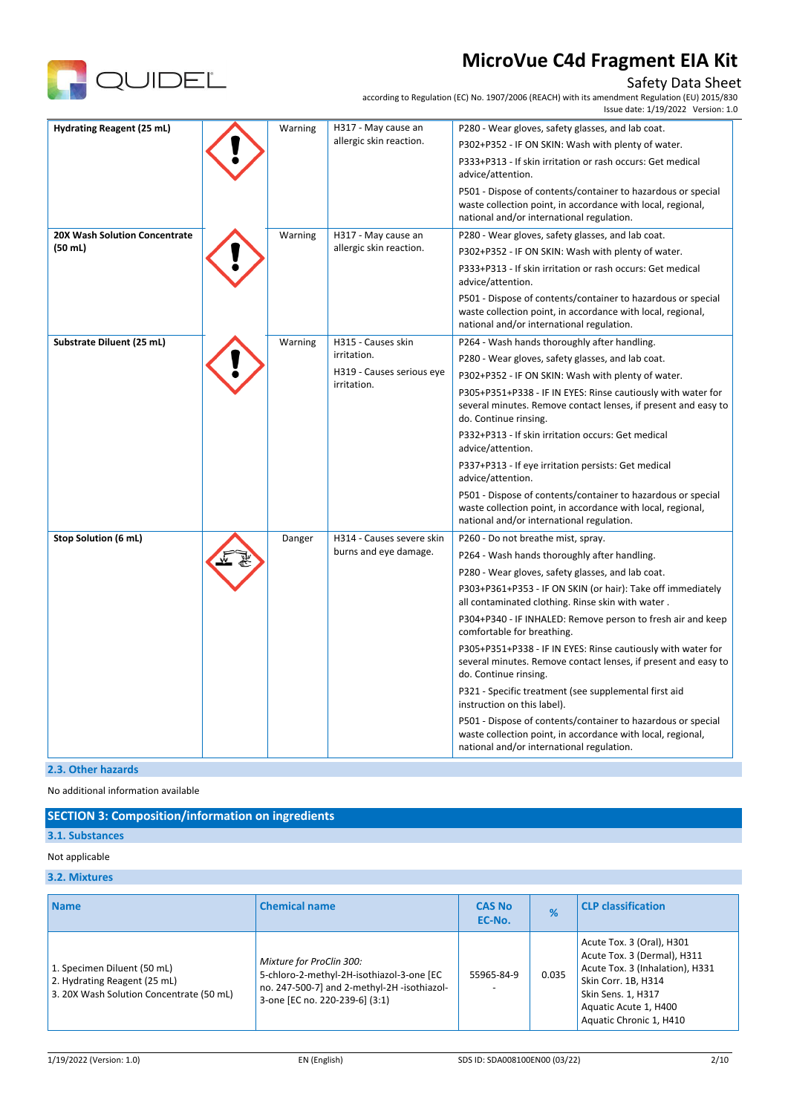

# Safety Data Sheet

according to Regulation (EC) No. 1907/2006 (REACH) with its amendment Regulation (EU) 2015/830

|                               |  |         |                                          | Issue date: 1/19/2022 Version: 1.0                                                                                                                                       |
|-------------------------------|--|---------|------------------------------------------|--------------------------------------------------------------------------------------------------------------------------------------------------------------------------|
| Hydrating Reagent (25 mL)     |  | Warning | H317 - May cause an                      | P280 - Wear gloves, safety glasses, and lab coat.                                                                                                                        |
|                               |  |         | allergic skin reaction.                  | P302+P352 - IF ON SKIN: Wash with plenty of water.                                                                                                                       |
|                               |  |         |                                          | P333+P313 - If skin irritation or rash occurs: Get medical<br>advice/attention.                                                                                          |
|                               |  |         |                                          | P501 - Dispose of contents/container to hazardous or special<br>waste collection point, in accordance with local, regional,<br>national and/or international regulation. |
| 20X Wash Solution Concentrate |  | Warning | H317 - May cause an                      | P280 - Wear gloves, safety glasses, and lab coat.                                                                                                                        |
| (50 ml)                       |  |         | allergic skin reaction.                  | P302+P352 - IF ON SKIN: Wash with plenty of water.                                                                                                                       |
|                               |  |         |                                          | P333+P313 - If skin irritation or rash occurs: Get medical<br>advice/attention.                                                                                          |
|                               |  |         |                                          | P501 - Dispose of contents/container to hazardous or special<br>waste collection point, in accordance with local, regional,<br>national and/or international regulation. |
| Substrate Diluent (25 mL)     |  | Warning | H315 - Causes skin                       | P264 - Wash hands thoroughly after handling.                                                                                                                             |
|                               |  |         | irritation.                              | P280 - Wear gloves, safety glasses, and lab coat.                                                                                                                        |
|                               |  |         | H319 - Causes serious eye<br>irritation. | P302+P352 - IF ON SKIN: Wash with plenty of water.                                                                                                                       |
|                               |  |         |                                          | P305+P351+P338 - IF IN EYES: Rinse cautiously with water for<br>several minutes. Remove contact lenses, if present and easy to<br>do. Continue rinsing.                  |
|                               |  |         |                                          | P332+P313 - If skin irritation occurs: Get medical<br>advice/attention.                                                                                                  |
|                               |  |         |                                          | P337+P313 - If eye irritation persists: Get medical<br>advice/attention.                                                                                                 |
|                               |  |         |                                          | P501 - Dispose of contents/container to hazardous or special<br>waste collection point, in accordance with local, regional,<br>national and/or international regulation. |
| <b>Stop Solution (6 mL)</b>   |  | Danger  | H314 - Causes severe skin                | P260 - Do not breathe mist, spray.                                                                                                                                       |
|                               |  |         | burns and eye damage.                    | P264 - Wash hands thoroughly after handling.                                                                                                                             |
|                               |  |         |                                          | P280 - Wear gloves, safety glasses, and lab coat.                                                                                                                        |
|                               |  |         |                                          | P303+P361+P353 - IF ON SKIN (or hair): Take off immediately<br>all contaminated clothing. Rinse skin with water.                                                         |
|                               |  |         |                                          | P304+P340 - IF INHALED: Remove person to fresh air and keep<br>comfortable for breathing.                                                                                |
|                               |  |         |                                          | P305+P351+P338 - IF IN EYES: Rinse cautiously with water for<br>several minutes. Remove contact lenses, if present and easy to<br>do. Continue rinsing.                  |
|                               |  |         |                                          | P321 - Specific treatment (see supplemental first aid<br>instruction on this label).                                                                                     |
|                               |  |         |                                          | P501 - Dispose of contents/container to hazardous or special<br>waste collection point, in accordance with local, regional,<br>national and/or international regulation. |

### **2.3. Other hazards**

No additional information available

## **SECTION 3: Composition/information on ingredients**

# **3.1. Substances**

## Not applicable

## **3.2. Mixtures**

| <b>Name</b>                                                                                             | <b>Chemical name</b>                                                                                                                                  | <b>CAS No</b><br>EC-No. | %     | <b>CLP classification</b>                                                                                                                                                                    |
|---------------------------------------------------------------------------------------------------------|-------------------------------------------------------------------------------------------------------------------------------------------------------|-------------------------|-------|----------------------------------------------------------------------------------------------------------------------------------------------------------------------------------------------|
| 1. Specimen Diluent (50 mL)<br>2. Hydrating Reagent (25 mL)<br>3. 20X Wash Solution Concentrate (50 mL) | Mixture for ProClin 300:<br>5-chloro-2-methyl-2H-isothiazol-3-one [EC<br>no. 247-500-7] and 2-methyl-2H-isothiazol-<br>3-one [EC no. 220-239-6] (3:1) | 55965-84-9              | 0.035 | Acute Tox. 3 (Oral), H301<br>Acute Tox. 3 (Dermal), H311<br>Acute Tox. 3 (Inhalation), H331<br>Skin Corr. 1B, H314<br>Skin Sens. 1, H317<br>Aquatic Acute 1, H400<br>Aquatic Chronic 1, H410 |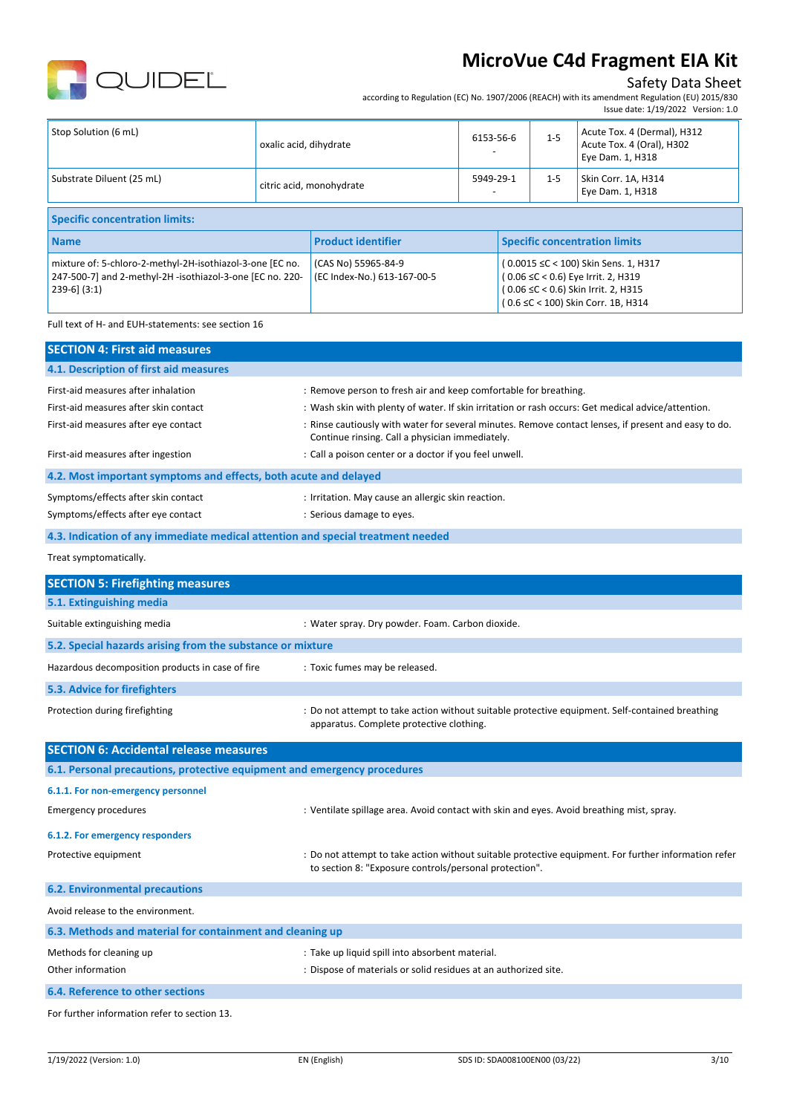

## Safety Data Sheet

according to Regulation (EC) No. 1907/2006 (REACH) with its amendment Regulation (EU) 2015/830

( 0.06 ≤C < 0.6) Eye Irrit. 2, H319 ( 0.06 ≤C < 0.6) Skin Irrit. 2, H315 ( 0.6 ≤C < 100) Skin Corr. 1B, H314

|                                                           |                        |                           |           |                                      |         | Issue date: 1/19/2022 Version: 1.0                                           |
|-----------------------------------------------------------|------------------------|---------------------------|-----------|--------------------------------------|---------|------------------------------------------------------------------------------|
| Stop Solution (6 mL)                                      | oxalic acid, dihydrate |                           | 6153-56-6 |                                      | $1 - 5$ | Acute Tox. 4 (Dermal), H312<br>Acute Tox. 4 (Oral), H302<br>Eye Dam. 1, H318 |
| Substrate Diluent (25 mL)                                 |                        | citric acid, monohydrate  | 5949-29-1 |                                      | $1 - 5$ | Skin Corr. 1A, H314<br>Eye Dam. 1, H318                                      |
| <b>Specific concentration limits:</b>                     |                        |                           |           |                                      |         |                                                                              |
| <b>Name</b>                                               |                        | <b>Product identifier</b> |           | <b>Specific concentration limits</b> |         |                                                                              |
| mixture of: 5-chloro-2-methyl-2H-isothiazol-3-one [EC no. |                        | (CAS No) 55965-84-9       |           | (0.0015 ≤C < 100) Skin Sens. 1, H317 |         |                                                                              |

(EC Index-No.) 613-167-00-5

Full text of H- and EUH-statements: see section 16

239-6] (3:1)

247-500-7] and 2-methyl-2H -isothiazol-3-one [EC no. 220-

| <b>SECTION 4: First aid measures</b>                                            |                                                                                                                                                         |
|---------------------------------------------------------------------------------|---------------------------------------------------------------------------------------------------------------------------------------------------------|
| 4.1. Description of first aid measures                                          |                                                                                                                                                         |
| First-aid measures after inhalation                                             | : Remove person to fresh air and keep comfortable for breathing.                                                                                        |
| First-aid measures after skin contact                                           | : Wash skin with plenty of water. If skin irritation or rash occurs: Get medical advice/attention.                                                      |
| First-aid measures after eye contact                                            | : Rinse cautiously with water for several minutes. Remove contact lenses, if present and easy to do.<br>Continue rinsing. Call a physician immediately. |
| First-aid measures after ingestion                                              | : Call a poison center or a doctor if you feel unwell.                                                                                                  |
| 4.2. Most important symptoms and effects, both acute and delayed                |                                                                                                                                                         |
| Symptoms/effects after skin contact                                             | : Irritation. May cause an allergic skin reaction.                                                                                                      |
| Symptoms/effects after eye contact                                              | : Serious damage to eyes.                                                                                                                               |
| 4.3. Indication of any immediate medical attention and special treatment needed |                                                                                                                                                         |
| Treat symptomatically.                                                          |                                                                                                                                                         |
| <b>SECTION 5: Firefighting measures</b>                                         |                                                                                                                                                         |
| 5.1. Extinguishing media                                                        |                                                                                                                                                         |
| Suitable extinguishing media                                                    | : Water spray. Dry powder. Foam. Carbon dioxide.                                                                                                        |
| 5.2. Special hazards arising from the substance or mixture                      |                                                                                                                                                         |
| Hazardous decomposition products in case of fire                                | : Toxic fumes may be released.                                                                                                                          |
| 5.3. Advice for firefighters                                                    |                                                                                                                                                         |
| Protection during firefighting                                                  | : Do not attempt to take action without suitable protective equipment. Self-contained breathing<br>apparatus. Complete protective clothing.             |
| <b>SECTION 6: Accidental release measures</b>                                   |                                                                                                                                                         |
| 6.1. Personal precautions, protective equipment and emergency procedures        |                                                                                                                                                         |
| 6.1.1. For non-emergency personnel                                              |                                                                                                                                                         |
| <b>Emergency procedures</b>                                                     | : Ventilate spillage area. Avoid contact with skin and eyes. Avoid breathing mist, spray.                                                               |
| 6.1.2. For emergency responders                                                 |                                                                                                                                                         |
| Protective equipment                                                            | : Do not attempt to take action without suitable protective equipment. For further information refer                                                    |

to section 8: "Exposure controls/personal protection".

For further information refer to section 13.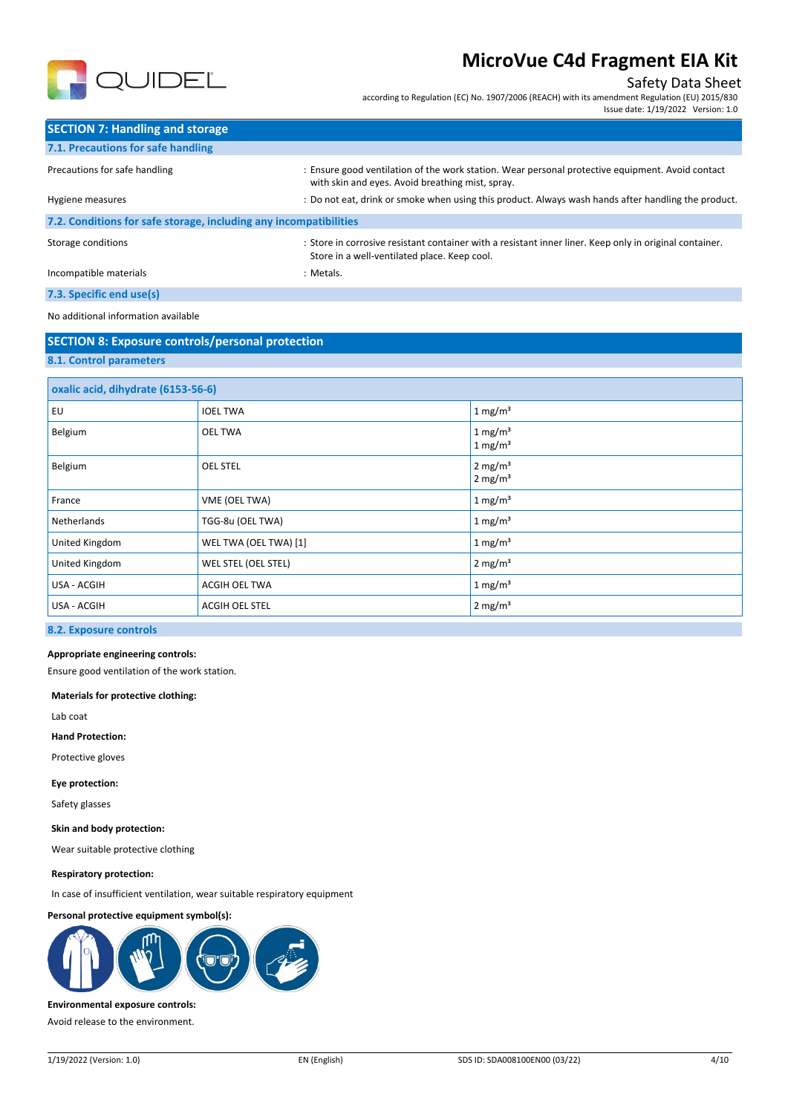

## Safety Data Sheet

according to Regulation (EC) No. 1907/2006 (REACH) with its amendment Regulation (EU) 2015/830 Issue date: 1/19/2022 Version: 1.0

| <b>SECTION 7: Handling and storage</b>                            |                                                                                                                                                         |
|-------------------------------------------------------------------|---------------------------------------------------------------------------------------------------------------------------------------------------------|
| 7.1. Precautions for safe handling                                |                                                                                                                                                         |
| Precautions for safe handling                                     | : Ensure good ventilation of the work station. Wear personal protective equipment. Avoid contact<br>with skin and eyes. Avoid breathing mist, spray.    |
| Hygiene measures                                                  | : Do not eat, drink or smoke when using this product. Always wash hands after handling the product.                                                     |
| 7.2. Conditions for safe storage, including any incompatibilities |                                                                                                                                                         |
| Storage conditions                                                | : Store in corrosive resistant container with a resistant inner liner. Keep only in original container.<br>Store in a well-ventilated place. Keep cool. |
| Incompatible materials                                            | : Metals.                                                                                                                                               |

**7.3. Specific end use(s)**

#### No additional information available

# **SECTION 8: Exposure controls/personal protection 8.1. Control parameters**

| oxalic acid, dihydrate (6153-56-6) |                       |                                            |
|------------------------------------|-----------------------|--------------------------------------------|
| EU                                 | <b>IOEL TWA</b>       | 1 mg/m <sup>3</sup>                        |
| Belgium                            | <b>OEL TWA</b>        | 1 mg/m <sup>3</sup><br>1 mg/m <sup>3</sup> |
| Belgium                            | <b>OEL STEL</b>       | 2 mg/m <sup>3</sup><br>$2 \text{ mg/m}^3$  |
| France                             | VME (OEL TWA)         | $1 \text{ mg/m}^3$                         |
| Netherlands                        | TGG-8u (OEL TWA)      | 1 mg/m <sup>3</sup>                        |
| United Kingdom                     | WEL TWA (OEL TWA) [1] | 1 mg/m <sup>3</sup>                        |
| United Kingdom                     | WEL STEL (OEL STEL)   | 2 mg/m <sup>3</sup>                        |
| USA - ACGIH                        | ACGIH OEL TWA         | 1 mg/m <sup>3</sup>                        |
| USA - ACGIH                        | ACGIH OEL STEL        | $2 \text{ mg/m}^3$                         |

### **8.2. Exposure controls**

#### **Appropriate engineering controls:**

Ensure good ventilation of the work station.

#### **Materials for protective clothing:**

Lab coat

**Hand Protection:**

Protective gloves

#### **Eye protection:**

Safety glasses

#### **Skin and body protection:**

Wear suitable protective clothing

#### **Respiratory protection:**

In case of insufficient ventilation, wear suitable respiratory equipment

#### **Personal protective equipment symbol(s):**



### **Environmental exposure controls:**

Avoid release to the environment.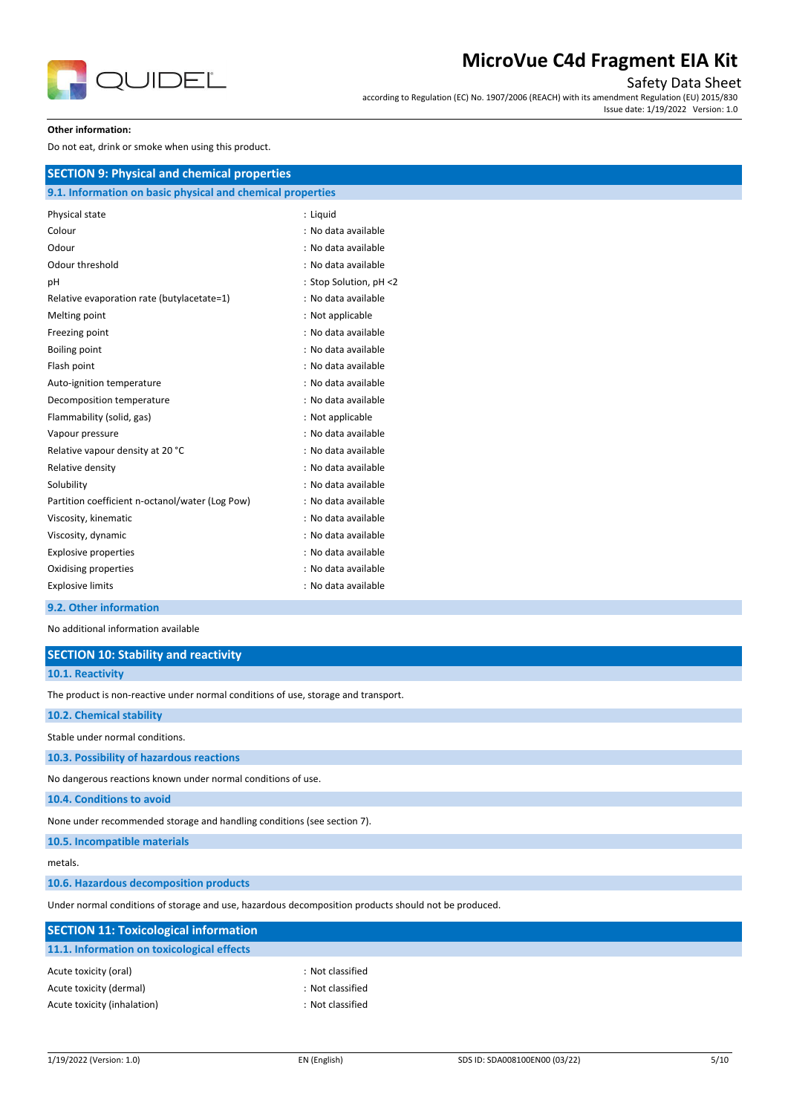

## Safety Data Sheet

according to Regulation (EC) No. 1907/2006 (REACH) with its amendment Regulation (EU) 2015/830 Issue date: 1/19/2022 Version: 1.0

#### **Other information:**

Do not eat, drink or smoke when using this product.

| <b>SECTION 9: Physical and chemical properties</b>         |                        |
|------------------------------------------------------------|------------------------|
| 9.1. Information on basic physical and chemical properties |                        |
| Physical state                                             | : Liquid               |
| Colour                                                     | : No data available    |
| Odour                                                      | : No data available    |
| Odour threshold                                            | : No data available    |
| рH                                                         | : Stop Solution, pH <2 |
| Relative evaporation rate (butylacetate=1)                 | : No data available    |
| Melting point                                              | : Not applicable       |
| Freezing point                                             | : No data available    |
| <b>Boiling point</b>                                       | : No data available    |
| Flash point                                                | : No data available    |
| Auto-ignition temperature                                  | : No data available    |
| Decomposition temperature                                  | : No data available    |
| Flammability (solid, gas)                                  | : Not applicable       |
| Vapour pressure                                            | : No data available    |
| Relative vapour density at 20 °C                           | : No data available    |
| Relative density                                           | : No data available    |
| Solubility                                                 | : No data available    |
| Partition coefficient n-octanol/water (Log Pow)            | : No data available    |
| Viscosity, kinematic                                       | : No data available    |
| Viscosity, dynamic                                         | : No data available    |
| <b>Explosive properties</b>                                | : No data available    |
| Oxidising properties                                       | : No data available    |
| <b>Explosive limits</b>                                    | : No data available    |
|                                                            |                        |

## **9.2. Other information**

No additional information available

| No additional information available                                                                  |                  |  |  |  |
|------------------------------------------------------------------------------------------------------|------------------|--|--|--|
| <b>SECTION 10: Stability and reactivity</b>                                                          |                  |  |  |  |
| 10.1. Reactivity                                                                                     |                  |  |  |  |
| The product is non-reactive under normal conditions of use, storage and transport.                   |                  |  |  |  |
| 10.2. Chemical stability                                                                             |                  |  |  |  |
| Stable under normal conditions.                                                                      |                  |  |  |  |
| 10.3. Possibility of hazardous reactions                                                             |                  |  |  |  |
| No dangerous reactions known under normal conditions of use.                                         |                  |  |  |  |
| 10.4. Conditions to avoid                                                                            |                  |  |  |  |
| None under recommended storage and handling conditions (see section 7).                              |                  |  |  |  |
| 10.5. Incompatible materials                                                                         |                  |  |  |  |
| metals.                                                                                              |                  |  |  |  |
| 10.6. Hazardous decomposition products                                                               |                  |  |  |  |
| Under normal conditions of storage and use, hazardous decomposition products should not be produced. |                  |  |  |  |
| <b>SECTION 11: Toxicological information</b>                                                         |                  |  |  |  |
| 11.1. Information on toxicological effects                                                           |                  |  |  |  |
| Acute toxicity (oral)                                                                                | : Not classified |  |  |  |
| Acute toxicity (dermal)                                                                              | : Not classified |  |  |  |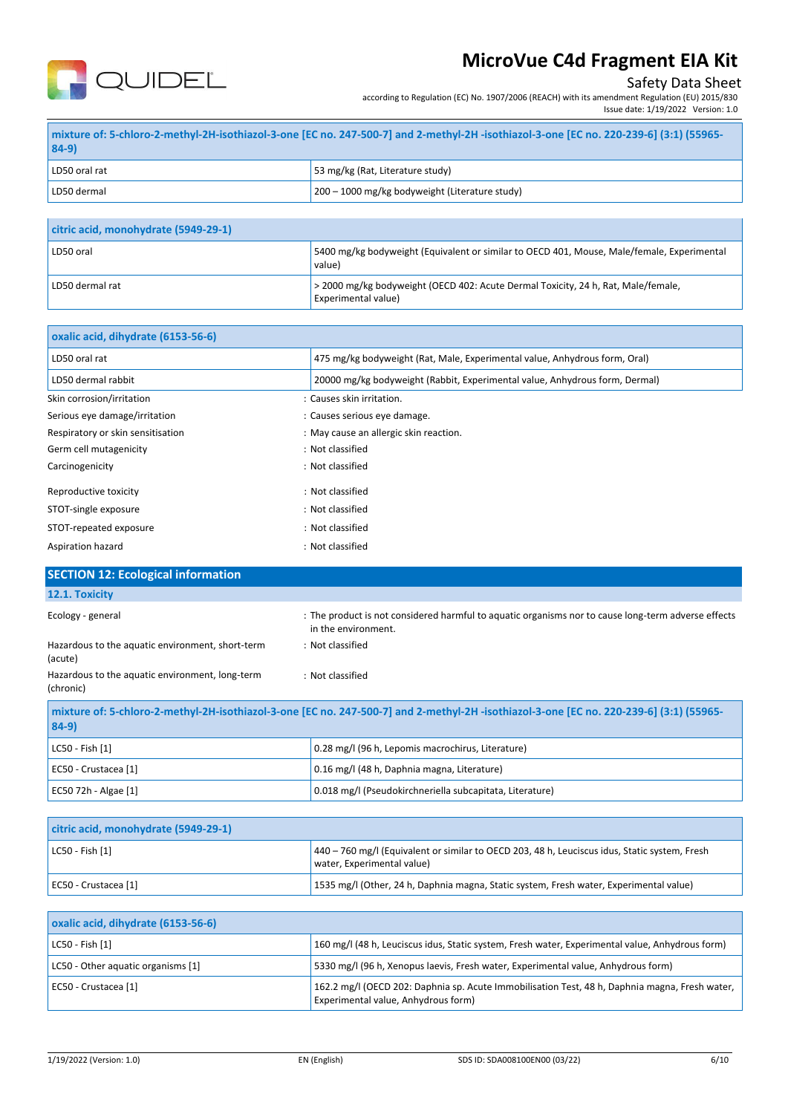

# Safety Data Sheet

according to Regulation (EC) No. 1907/2006 (REACH) with its amendment Regulation (EU) 2015/830 Issue date: 1/19/2022 Version: 1.0

| $84-9)$       | -55965-   mixture of: 5-chloro-2-methyl-2H-isothiazol-3-one [EC no. 247-500-7] and 2-methyl-2H -isothiazol-3-one [EC no. 220-239-6] (3:1)   55965- |
|---------------|----------------------------------------------------------------------------------------------------------------------------------------------------|
| LD50 oral rat | 53 mg/kg (Rat, Literature study)                                                                                                                   |
| LD50 dermal   | 200 – 1000 mg/kg bodyweight (Literature study)                                                                                                     |

| citric acid, monohydrate (5949-29-1) |                                                                                                          |
|--------------------------------------|----------------------------------------------------------------------------------------------------------|
| LD50 oral                            | 5400 mg/kg bodyweight (Equivalent or similar to OECD 401, Mouse, Male/female, Experimental<br>value)     |
| LD50 dermal rat                      | > 2000 mg/kg bodyweight (OECD 402: Acute Dermal Toxicity, 24 h, Rat, Male/female,<br>Experimental value) |

| oxalic acid, dihydrate (6153-56-6) |                                                                             |
|------------------------------------|-----------------------------------------------------------------------------|
| LD50 oral rat                      | 475 mg/kg bodyweight (Rat, Male, Experimental value, Anhydrous form, Oral)  |
| LD50 dermal rabbit                 | 20000 mg/kg bodyweight (Rabbit, Experimental value, Anhydrous form, Dermal) |
| Skin corrosion/irritation          | : Causes skin irritation.                                                   |
| Serious eye damage/irritation      | : Causes serious eye damage.                                                |
| Respiratory or skin sensitisation  | : May cause an allergic skin reaction.                                      |
| Germ cell mutagenicity             | : Not classified                                                            |
| Carcinogenicity                    | : Not classified                                                            |
| Reproductive toxicity              | : Not classified                                                            |
| STOT-single exposure               | : Not classified                                                            |
| STOT-repeated exposure             | : Not classified                                                            |
| Aspiration hazard                  | : Not classified                                                            |

| <b>SECTION 12: Ecological information</b>                                                                                                         |                                                                                                                            |
|---------------------------------------------------------------------------------------------------------------------------------------------------|----------------------------------------------------------------------------------------------------------------------------|
| 12.1. Toxicity                                                                                                                                    |                                                                                                                            |
| Ecology - general                                                                                                                                 | : The product is not considered harmful to aquatic organisms nor to cause long-term adverse effects<br>in the environment. |
| Hazardous to the aquatic environment, short-term<br>(acute)                                                                                       | : Not classified                                                                                                           |
| Hazardous to the aquatic environment, long-term<br>(chronic)                                                                                      | : Not classified                                                                                                           |
| mixture of: 5-chloro-2-methyl-2H-isothiazol-3-one [EC no. 247-500-7] and 2-methyl-2H-isothiazol-3-one [EC no. 220-239-6] (3:1) (55965-<br>$84-9)$ |                                                                                                                            |
| LC50 - Fish [1]                                                                                                                                   | 0.28 mg/l (96 h, Lepomis macrochirus, Literature)                                                                          |

| $1 - 2 - 7$ $1 - 7$    | $0.25$ may 1,90 m, edponts made odini as, electrical dy  |
|------------------------|----------------------------------------------------------|
| EC50 - Crustacea [1]   | 0.16 mg/l (48 h, Daphnia magna, Literature)              |
| EC50 72h - Algae $[1]$ | 0.018 mg/l (Pseudokirchneriella subcapitata, Literature) |
|                        |                                                          |

| citric acid, monohydrate (5949-29-1) |                                                                                                                               |
|--------------------------------------|-------------------------------------------------------------------------------------------------------------------------------|
| $ $ LC50 - Fish $[1]$                | $440 - 760$ mg/l (Equivalent or similar to OECD 203, 48 h, Leuciscus idus, Static system, Fresh<br>water, Experimental value) |
| EC50 - Crustacea [1]                 | 1535 mg/l (Other, 24 h, Daphnia magna, Static system, Fresh water, Experimental value)                                        |

| oxalic acid, dihydrate (6153-56-6) |                                                                                                                                       |
|------------------------------------|---------------------------------------------------------------------------------------------------------------------------------------|
| $ $ LC50 - Fish $[1]$              | 160 mg/l (48 h, Leuciscus idus, Static system, Fresh water, Experimental value, Anhydrous form)                                       |
| LC50 - Other aguatic organisms [1] | 5330 mg/l (96 h, Xenopus laevis, Fresh water, Experimental value, Anhydrous form)                                                     |
| EC50 - Crustacea [1]               | 162.2 mg/l (OECD 202: Daphnia sp. Acute Immobilisation Test, 48 h, Daphnia magna, Fresh water,<br>Experimental value, Anhydrous form) |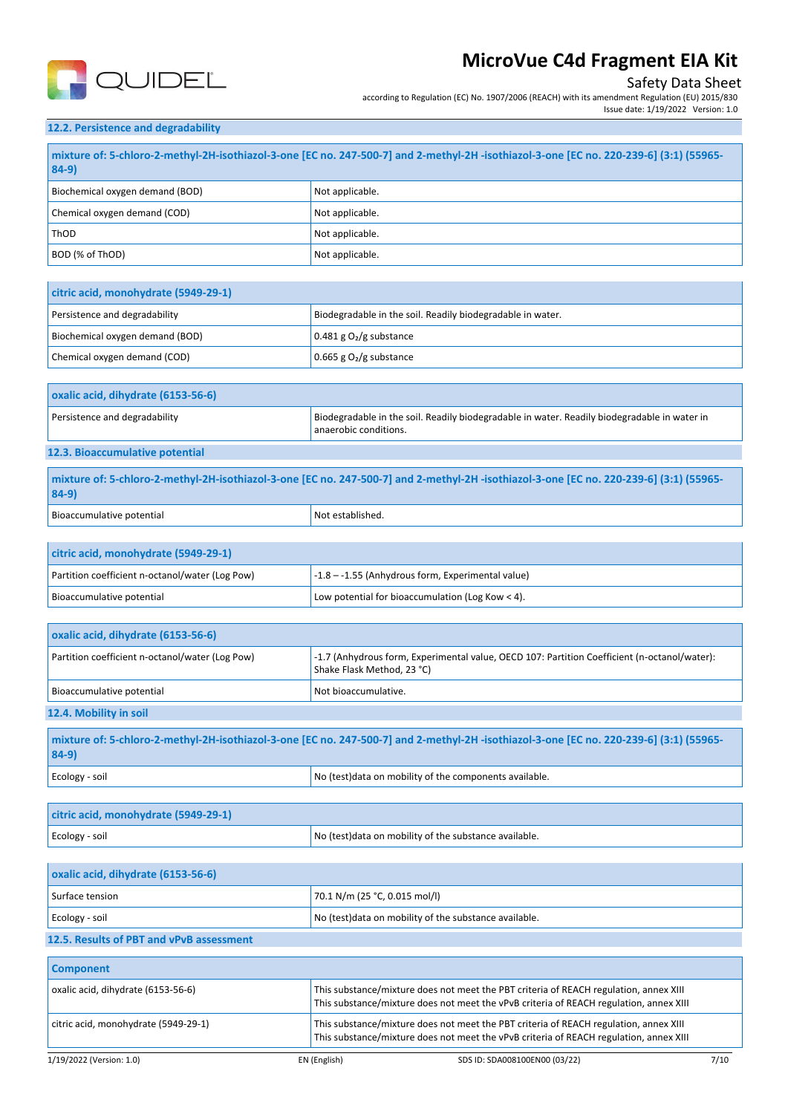

# Safety Data Sheet

according to Regulation (EC) No. 1907/2006 (REACH) with its amendment Regulation (EU) 2015/830 Issue date: 1/19/2022 Version: 1.0

## **12.2. Persistence and degradability**

| -55965) mixture of: 5-chloro-2-methyl-2H-isothiazol-3-one [EC no. 247-500-7] and 2-methyl-2H -isothiazol-3-one [EC no. 220-239-6] (3:1)   [55965]<br>$84-9$ |                 |
|-------------------------------------------------------------------------------------------------------------------------------------------------------------|-----------------|
| Biochemical oxygen demand (BOD)                                                                                                                             | Not applicable. |
| Chemical oxygen demand (COD)                                                                                                                                | Not applicable. |
| l ThOD                                                                                                                                                      | Not applicable. |
| BOD (% of ThOD)                                                                                                                                             | Not applicable. |

| citric acid, monohydrate (5949-29-1) |                                                            |
|--------------------------------------|------------------------------------------------------------|
| Persistence and degradability        | Biodegradable in the soil. Readily biodegradable in water. |
| Biochemical oxygen demand (BOD)      | $0.481$ g O <sub>2</sub> /g substance                      |
| Chemical oxygen demand (COD)         | $0.665$ g $O2$ /g substance                                |

| oxalic acid, dihydrate (6153-56-6) |                                                                                                                       |
|------------------------------------|-----------------------------------------------------------------------------------------------------------------------|
| Persistence and degradability      | Biodegradable in the soil. Readily biodegradable in water. Readily biodegradable in water in<br>anaerobic conditions. |
| $\cdots$                           |                                                                                                                       |

## **12.3. Bioaccumulative potential**

| mixture of: 5-chloro-2-methyl-2H-isothiazol-3-one [EC no. 247-500-7] and 2-methyl-2H -isothiazol-3-one [EC no. 220-239-6] (3:1) (55965-<br>$84-9$ |                  |
|---------------------------------------------------------------------------------------------------------------------------------------------------|------------------|
| Bioaccumulative potential                                                                                                                         | Not established. |

| citric acid, monohydrate (5949-29-1)            |                                                     |
|-------------------------------------------------|-----------------------------------------------------|
| Partition coefficient n-octanol/water (Log Pow) | $-1.8 - -1.55$ (Anhydrous form, Experimental value) |
| Bioaccumulative potential                       | Low potential for bioaccumulation (Log Kow < 4).    |

| oxalic acid, dihydrate (6153-56-6)                                                                                                 |                                                                                                                            |  |
|------------------------------------------------------------------------------------------------------------------------------------|----------------------------------------------------------------------------------------------------------------------------|--|
| Partition coefficient n-octanol/water (Log Pow)                                                                                    | -1.7 (Anhydrous form, Experimental value, OECD 107: Partition Coefficient (n-octanol/water):<br>Shake Flask Method, 23 °C) |  |
| Bioaccumulative potential                                                                                                          | Not bioaccumulative.                                                                                                       |  |
| 12.4. Mobility in soil                                                                                                             |                                                                                                                            |  |
|                                                                                                                                    |                                                                                                                            |  |
| mixture of: 5-chloro-2-methyl-2H-isothiazol-3-one [EC no. 247-500-7] and 2-methyl-2H-isothiazol-3-one [EC no. 220-61 (2:1) (55865- |                                                                                                                            |  |

| mixture of: 5-chloro-2-methyl-2H-isothiazol-3-one [EC no. 247-500-7] and 2-methyl-2H-isothiazol-3-one [EC no. 220-239-6] (3:1) (55965-<br>$84-9$ |                                                        |  |
|--------------------------------------------------------------------------------------------------------------------------------------------------|--------------------------------------------------------|--|
| Ecology - soil                                                                                                                                   | No (test)data on mobility of the components available. |  |

| citric acid, monohydrate (5949-29-1) |                                                        |
|--------------------------------------|--------------------------------------------------------|
| Ecology - soil                       | No (test) data on mobility of the substance available. |

| oxalic acid, dihydrate (6153-56-6)       |                                                        |  |
|------------------------------------------|--------------------------------------------------------|--|
| Surface tension                          | $  70.1$ N/m (25 °C, 0.015 mol/l)                      |  |
| Ecology - soil                           | No (test) data on mobility of the substance available. |  |
| 12.5. Results of PBT and vPvB assessment |                                                        |  |

| <b>Component</b>                     |              |                                                                                                                                                                                 |      |
|--------------------------------------|--------------|---------------------------------------------------------------------------------------------------------------------------------------------------------------------------------|------|
| oxalic acid, dihydrate (6153-56-6)   |              | This substance/mixture does not meet the PBT criteria of REACH regulation, annex XIII<br>This substance/mixture does not meet the vPvB criteria of REACH regulation, annex XIII |      |
| citric acid, monohydrate (5949-29-1) |              | This substance/mixture does not meet the PBT criteria of REACH regulation, annex XIII<br>This substance/mixture does not meet the vPvB criteria of REACH regulation, annex XIII |      |
| 1/19/2022 (Version: 1.0)             | EN (English) | SDS ID: SDA008100EN00 (03/22)                                                                                                                                                   | 7/10 |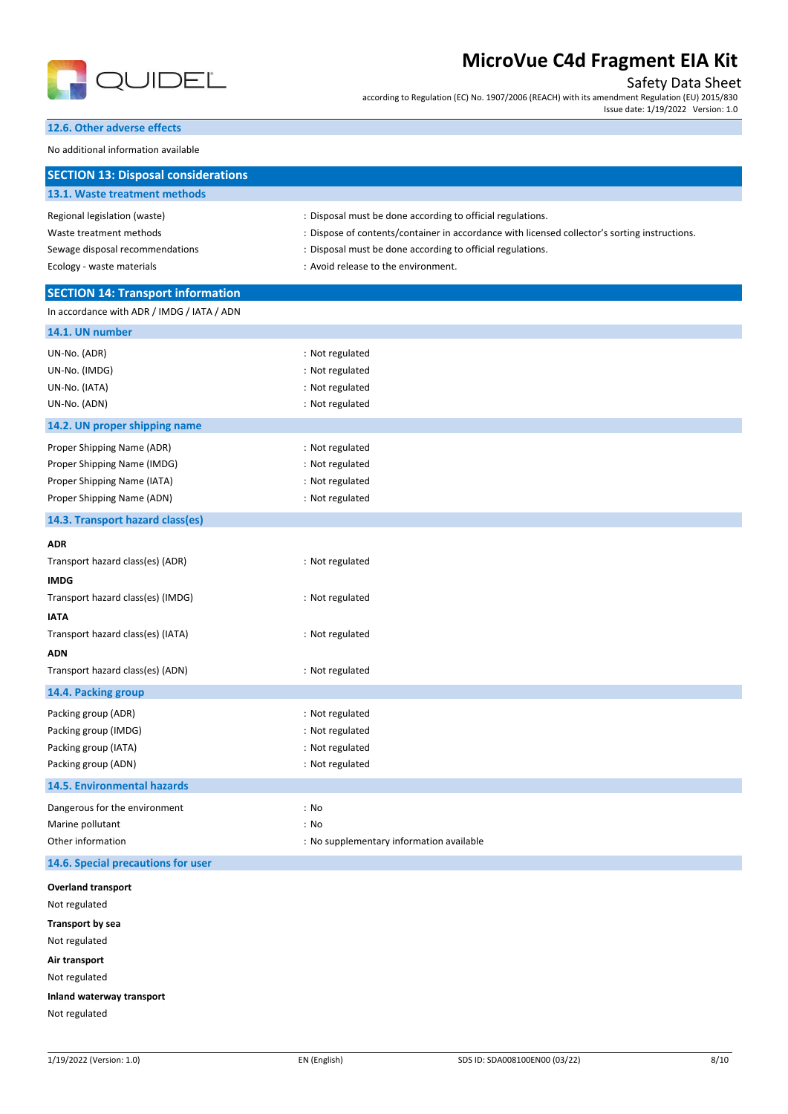

Safety Data Sheet

according to Regulation (EC) No. 1907/2006 (REACH) with its amendment Regulation (EU) 2015/830 Issue date: 1/19/2022 Version: 1.0

**12.6. Other adverse effects**

No additional information available

| <b>SECTION 13: Disposal considerations</b>                                                                                                                             |                                                                                                                                                                                                                                                                  |
|------------------------------------------------------------------------------------------------------------------------------------------------------------------------|------------------------------------------------------------------------------------------------------------------------------------------------------------------------------------------------------------------------------------------------------------------|
| 13.1. Waste treatment methods                                                                                                                                          |                                                                                                                                                                                                                                                                  |
| Regional legislation (waste)<br>Waste treatment methods<br>Sewage disposal recommendations<br>Ecology - waste materials                                                | : Disposal must be done according to official regulations.<br>: Dispose of contents/container in accordance with licensed collector's sorting instructions.<br>: Disposal must be done according to official regulations.<br>: Avoid release to the environment. |
| <b>SECTION 14: Transport information</b>                                                                                                                               |                                                                                                                                                                                                                                                                  |
| In accordance with ADR / IMDG / IATA / ADN                                                                                                                             |                                                                                                                                                                                                                                                                  |
| 14.1. UN number                                                                                                                                                        |                                                                                                                                                                                                                                                                  |
| UN-No. (ADR)<br>UN-No. (IMDG)<br>UN-No. (IATA)<br>UN-No. (ADN)                                                                                                         | : Not regulated<br>: Not regulated<br>: Not regulated<br>: Not regulated                                                                                                                                                                                         |
| 14.2. UN proper shipping name                                                                                                                                          |                                                                                                                                                                                                                                                                  |
| Proper Shipping Name (ADR)<br>Proper Shipping Name (IMDG)<br>Proper Shipping Name (IATA)<br>Proper Shipping Name (ADN)                                                 | : Not regulated<br>: Not regulated<br>: Not regulated<br>: Not regulated                                                                                                                                                                                         |
| 14.3. Transport hazard class(es)                                                                                                                                       |                                                                                                                                                                                                                                                                  |
| <b>ADR</b><br>Transport hazard class(es) (ADR)<br><b>IMDG</b><br>Transport hazard class(es) (IMDG)<br><b>IATA</b>                                                      | : Not regulated<br>: Not regulated                                                                                                                                                                                                                               |
| Transport hazard class(es) (IATA)                                                                                                                                      | : Not regulated                                                                                                                                                                                                                                                  |
| <b>ADN</b><br>Transport hazard class(es) (ADN)                                                                                                                         | : Not regulated                                                                                                                                                                                                                                                  |
| 14.4. Packing group                                                                                                                                                    |                                                                                                                                                                                                                                                                  |
| Packing group (ADR)<br>Packing group (IMDG)<br>Packing group (IATA)<br>Packing group (ADN)                                                                             | : Not regulated<br>: Not regulated<br>: Not regulated<br>: Not regulated                                                                                                                                                                                         |
| 14.5. Environmental hazards                                                                                                                                            |                                                                                                                                                                                                                                                                  |
| Dangerous for the environment<br>Marine pollutant<br>Other information                                                                                                 | : No<br>: No<br>: No supplementary information available                                                                                                                                                                                                         |
| 14.6. Special precautions for user                                                                                                                                     |                                                                                                                                                                                                                                                                  |
| <b>Overland transport</b><br>Not regulated<br><b>Transport by sea</b><br>Not regulated<br>Air transport<br>Not regulated<br>Inland waterway transport<br>Not regulated |                                                                                                                                                                                                                                                                  |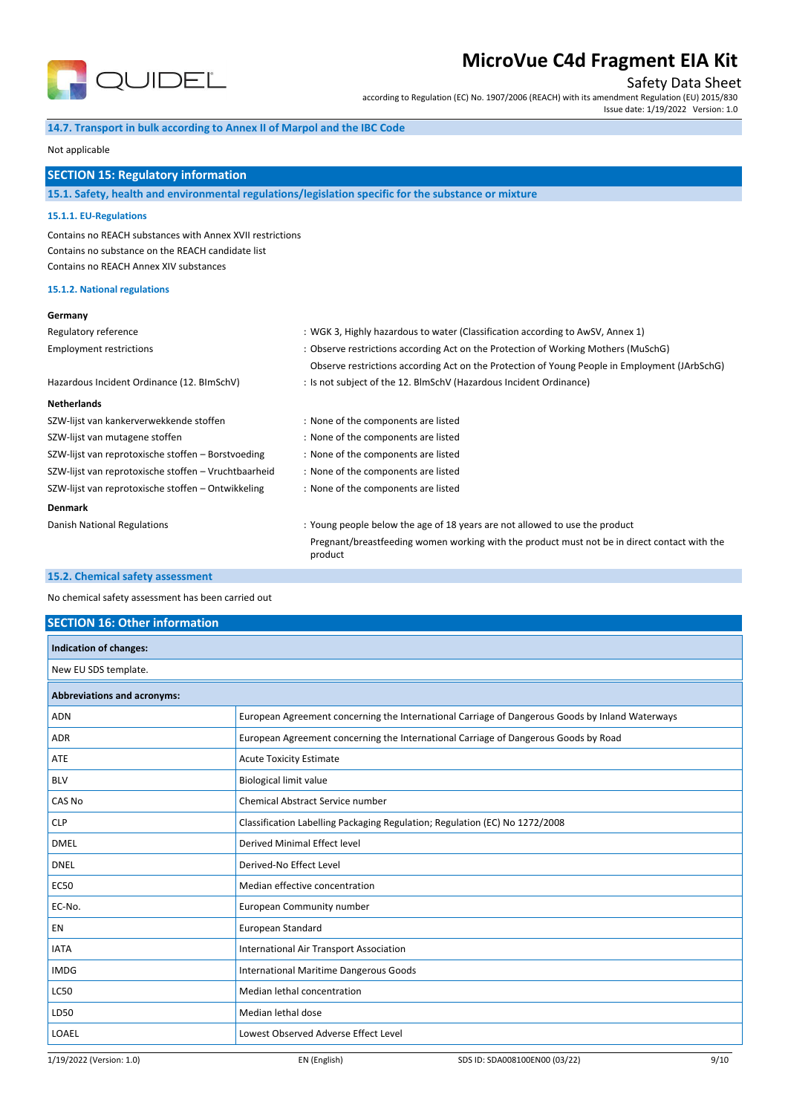

Safety Data Sheet

according to Regulation (EC) No. 1907/2006 (REACH) with its amendment Regulation (EU) 2015/830

Issue date: 1/19/2022 Version: 1.0

### **14.7. Transport in bulk according to Annex II of Marpol and the IBC Code**

#### Not applicable

## **SECTION 15: Regulatory information**

## **15.1. Safety, health and environmental regulations/legislation specific for the substance or mixture**

#### **15.1.1. EU-Regulations**

Contains no REACH substances with Annex XVII restrictions Contains no substance on the REACH candidate list Contains no REACH Annex XIV substances

### **15.1.2. National regulations**

### **Germany**

| <b>JEHIIAHY</b>                                      |                                                                                                         |  |  |
|------------------------------------------------------|---------------------------------------------------------------------------------------------------------|--|--|
| Regulatory reference                                 | : WGK 3, Highly hazardous to water (Classification according to AwSV, Annex 1)                          |  |  |
| <b>Employment restrictions</b>                       | : Observe restrictions according Act on the Protection of Working Mothers (MuSchG)                      |  |  |
|                                                      | Observe restrictions according Act on the Protection of Young People in Employment (JArbSchG)           |  |  |
| Hazardous Incident Ordinance (12. BImSchV)           | : Is not subject of the 12. BlmSchV (Hazardous Incident Ordinance)                                      |  |  |
| <b>Netherlands</b>                                   |                                                                                                         |  |  |
| SZW-lijst van kankerverwekkende stoffen              | : None of the components are listed                                                                     |  |  |
| SZW-lijst van mutagene stoffen                       | : None of the components are listed                                                                     |  |  |
| SZW-lijst van reprotoxische stoffen - Borstvoeding   | : None of the components are listed                                                                     |  |  |
| SZW-lijst van reprotoxische stoffen - Vruchtbaarheid | : None of the components are listed                                                                     |  |  |
| SZW-lijst van reprotoxische stoffen - Ontwikkeling   | : None of the components are listed                                                                     |  |  |
| <b>Denmark</b>                                       |                                                                                                         |  |  |
| Danish National Regulations                          | : Young people below the age of 18 years are not allowed to use the product                             |  |  |
|                                                      | Pregnant/breastfeeding women working with the product must not be in direct contact with the<br>product |  |  |
| <b>APP OF ALL CONTRACT CONSULTING CONTRACTS</b>      |                                                                                                         |  |  |

#### **15.2. Chemical safety assessment**

No chemical safety assessment has been carried out

### **SECTION 16: Other information**

| Indication of changes:             |                                         |                                                                                                 |      |
|------------------------------------|-----------------------------------------|-------------------------------------------------------------------------------------------------|------|
| New EU SDS template.               |                                         |                                                                                                 |      |
| <b>Abbreviations and acronyms:</b> |                                         |                                                                                                 |      |
| ADN                                |                                         | European Agreement concerning the International Carriage of Dangerous Goods by Inland Waterways |      |
| <b>ADR</b>                         |                                         | European Agreement concerning the International Carriage of Dangerous Goods by Road             |      |
| ATE                                | <b>Acute Toxicity Estimate</b>          |                                                                                                 |      |
| <b>BLV</b>                         | <b>Biological limit value</b>           |                                                                                                 |      |
| CAS No                             | Chemical Abstract Service number        |                                                                                                 |      |
| <b>CLP</b>                         |                                         | Classification Labelling Packaging Regulation; Regulation (EC) No 1272/2008                     |      |
| <b>DMEL</b>                        | Derived Minimal Effect level            |                                                                                                 |      |
| <b>DNEL</b>                        | Derived-No Effect Level                 |                                                                                                 |      |
| <b>EC50</b>                        | Median effective concentration          |                                                                                                 |      |
| EC-No.                             | European Community number               |                                                                                                 |      |
| EN                                 | European Standard                       |                                                                                                 |      |
| <b>IATA</b>                        | International Air Transport Association |                                                                                                 |      |
| <b>IMDG</b>                        | International Maritime Dangerous Goods  |                                                                                                 |      |
| <b>LC50</b>                        | Median lethal concentration             |                                                                                                 |      |
| LD50                               | Median lethal dose                      |                                                                                                 |      |
| LOAEL                              | Lowest Observed Adverse Effect Level    |                                                                                                 |      |
| 1/19/2022 (Version: 1.0)           | EN (English)                            | SDS ID: SDA008100EN00 (03/22)                                                                   | 9/10 |